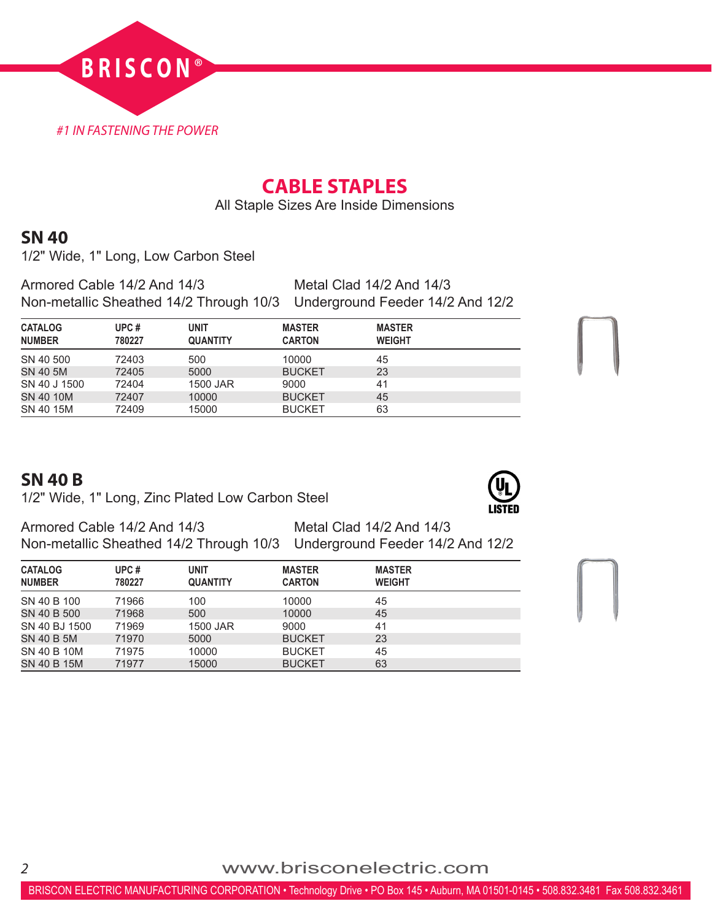

# **CABLE STAPLES**

All Staple Sizes Are Inside Dimensions

## **SN 40**

1/2" Wide, 1" Long, Low Carbon Steel

Armored Cable 14/2 And 14/3 Metal Clad 14/2 And 14/3 Non-metallic Sheathed 14/2 Through 10/3 Underground Feeder 14/2 And 12/2

| <b>CATALOG</b><br><b>NUMBER</b> | UPC#<br>780227 | <b>UNIT</b><br><b>QUANTITY</b> | <b>MASTER</b><br><b>CARTON</b> | <b>MASTER</b><br><b>WEIGHT</b> |
|---------------------------------|----------------|--------------------------------|--------------------------------|--------------------------------|
| SN 40 500                       | 72403          | 500                            | 10000                          | 45                             |
| SN 40 5M                        | 72405          | 5000                           | <b>BUCKET</b>                  | 23                             |
| SN 40 J 1500                    | 72404          | 1500 JAR                       | 9000                           | 41                             |
| SN 40 10M                       | 72407          | 10000                          | <b>BUCKET</b>                  | 45                             |
| SN 40 15M                       | 72409          | 15000                          | <b>BUCKET</b>                  | 63                             |

### **SN 40 B**

1/2" Wide, 1" Long, Zinc Plated Low Carbon Steel

Armored Cable 14/2 And 14/3 Metal Clad 14/2 And 14/3 Non-metallic Sheathed 14/2 Through 10/3 Underground Feeder 14/2 And 12/2

| <b>CATALOG</b><br><b>NUMBER</b> | UPC#<br>780227 | <b>UNIT</b><br><b>QUANTITY</b> | <b>MASTER</b><br><b>CARTON</b> | <b>MASTER</b><br><b>WEIGHT</b> |
|---------------------------------|----------------|--------------------------------|--------------------------------|--------------------------------|
| SN 40 B 100                     | 71966          | 100                            | 10000                          | 45                             |
| SN 40 B 500                     | 71968          | 500                            | 10000                          | 45                             |
| SN 40 BJ 1500                   | 71969          | 1500 JAR                       | 9000                           | 41                             |
| SN 40 B 5M                      | 71970          | 5000                           | <b>BUCKET</b>                  | 23                             |
| SN 40 B 10M                     | 71975          | 10000                          | <b>BUCKET</b>                  | 45                             |
| SN 40 B 15M                     | 71977          | 15000                          | <b>BUCKET</b>                  | 63                             |

*<sup>2</sup>* www.brisconelectric.com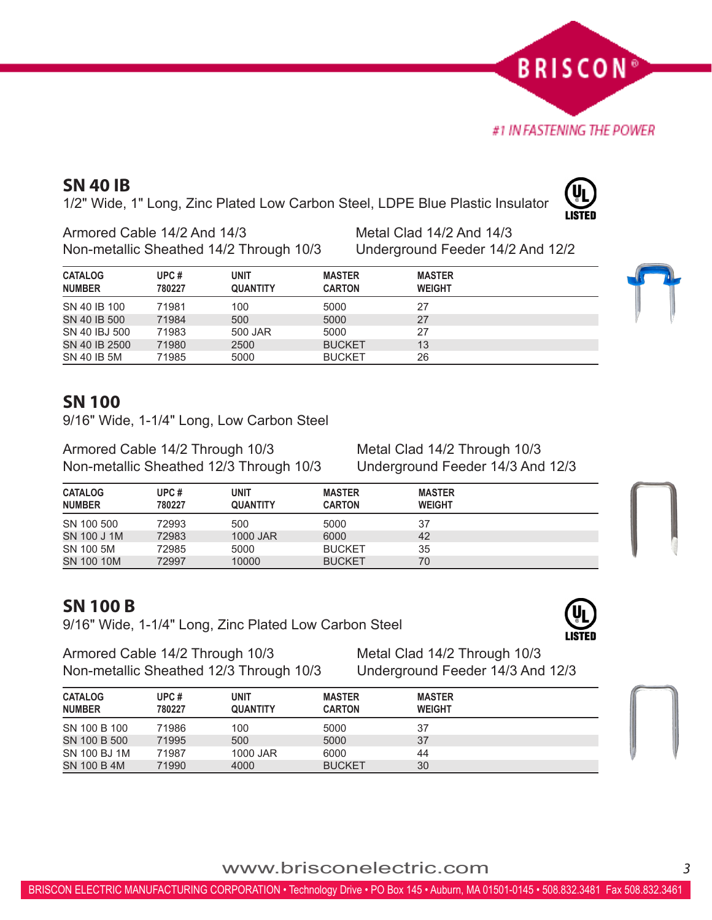www.brisconelectric.com*<sup>3</sup>*

# **SN 40 IB**

1/2" Wide, 1" Long, Zinc Plated Low Carbon Steel, LDPE Blue Plastic Insulator

Armored Cable 14/2 And 14/3 Metal Clad 14/2 And 14/3 Non-metallic Sheathed 14/2 Through 10/3 Underground Feeder 14/2 And 12/2

| <b>CATALOG</b><br><b>NUMBER</b> | UPC#<br>780227 | <b>UNIT</b><br><b>QUANTITY</b> | <b>MASTER</b><br><b>CARTON</b> | <b>MASTER</b><br><b>WEIGHT</b> |
|---------------------------------|----------------|--------------------------------|--------------------------------|--------------------------------|
| SN 40 IB 100                    | 71981          | 100                            | 5000                           | 27                             |
| SN 40 IB 500                    | 71984          | 500                            | 5000                           | 27                             |
| SN 40 IBJ 500                   | 71983          | 500 JAR                        | 5000                           | 27                             |
| SN 40 IB 2500                   | 71980          | 2500                           | <b>BUCKET</b>                  | 13                             |
| SN 40 IB 5M                     | 71985          | 5000                           | <b>BUCKET</b>                  | 26                             |

#### **SN 100**

9/16" Wide, 1-1/4" Long, Low Carbon Steel

Armored Cable 14/2 Through 10/3 Metal Clad 14/2 Through 10/3 Non-metallic Sheathed 12/3 Through 10/3 Underground Feeder 14/3 And 12/3

| <b>CATALOG</b> | UPC#   | <b>UNIT</b>     | <b>MASTER</b> | <b>MASTER</b> |  |
|----------------|--------|-----------------|---------------|---------------|--|
| <b>NUMBER</b>  | 780227 | <b>QUANTITY</b> | <b>CARTON</b> | <b>WEIGHT</b> |  |
| SN 100 500     | 72993  | 500             | 5000          | 37            |  |
| SN 100 J 1M    | 72983  | 1000 JAR        | 6000          | 42            |  |
| SN 100 5M      | 72985  | 5000            | <b>BUCKET</b> | 35            |  |
| SN 100 10M     | 72997  | 10000           | <b>BUCKET</b> | 70            |  |

## **SN 100 B**

9/16" Wide, 1-1/4" Long, Zinc Plated Low Carbon Steel

Armored Cable 14/2 Through 10/3 Metal Clad 14/2 Through 10/3 Non-metallic Sheathed 12/3 Through 10/3 Underground Feeder 14/3 And 12/3

| <b>CATALOG</b> | UPC#   | UNIT            | <b>MASTER</b> | <b>MASTER</b> |  |
|----------------|--------|-----------------|---------------|---------------|--|
| <b>NUMBER</b>  | 780227 | <b>QUANTITY</b> | <b>CARTON</b> | <b>WEIGHT</b> |  |
| SN 100 B 100   | 71986  | 100             | 5000          | 37            |  |
| SN 100 B 500   | 71995  | 500             | 5000          | 37            |  |
| SN 100 BJ 1M   | 71987  | 1000 JAR        | 6000          | 44            |  |
| SN 100 B 4M    | 71990  | 4000            | <b>BUCKET</b> | 30            |  |





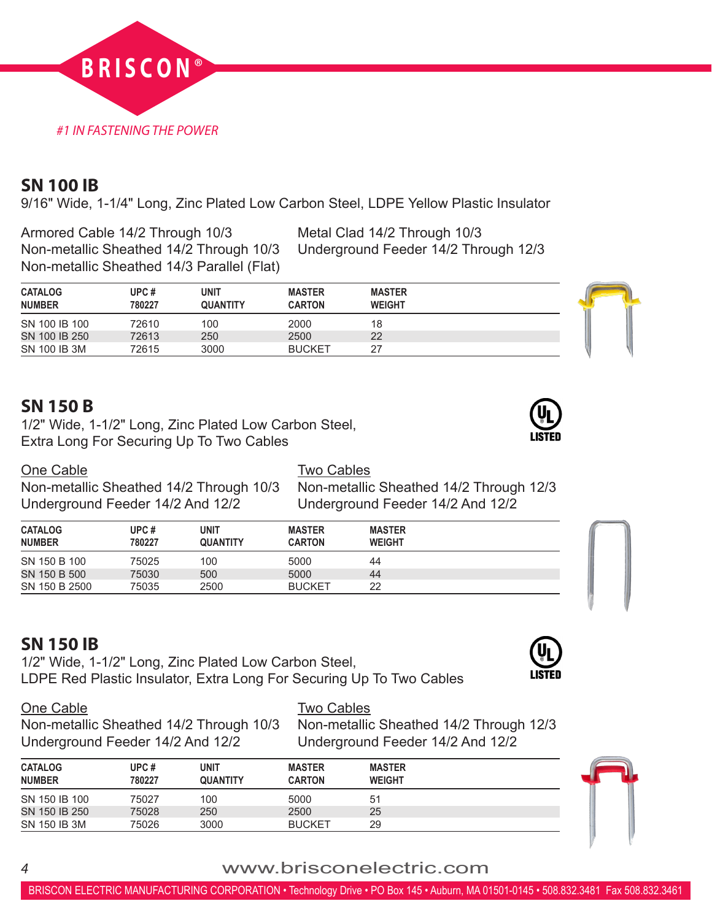

## **SN 100 IB**

9/16" Wide, 1-1/4" Long, Zinc Plated Low Carbon Steel, LDPE Yellow Plastic Insulator

Armored Cable 14/2 Through 10/3 Metal Clad 14/2 Through 10/3 Non-metallic Sheathed 14/2 Through 10/3 Underground Feeder 14/2 Through 12/3 Non-metallic Sheathed 14/3 Parallel (Flat)

| <b>CATALOG</b><br><b>NUMBER</b> | UPC #<br>780227 | UNIT<br><b>QUANTITY</b> | <b>MASTER</b><br><b>CARTON</b> | <b>MASTER</b><br><b>WEIGHT</b> |  |
|---------------------------------|-----------------|-------------------------|--------------------------------|--------------------------------|--|
| SN 100 IB 100                   | 72610           | 100                     | 2000                           | 18                             |  |
| SN 100 IB 250                   | 72613           | 250                     | 2500                           | 22                             |  |
| SN 100 IB 3M                    | 72615           | 3000                    | <b>BUCKET</b>                  | 27                             |  |

## **SN 150 B**

1/2" Wide, 1-1/2" Long, Zinc Plated Low Carbon Steel, Extra Long For Securing Up To Two Cables

<u>One Cable</u><br>Non-metallic Sheathed 14/2 Through 10/3 Non-metallic Underground Feeder 14/2 And 12/2 Underground Feeder 14/2 And 12/2

Non-metallic Sheathed 14/2 Through 12/3

| <b>CATALOG</b><br><b>NUMBER</b> | UPC#<br>780227 | unit<br><b>QUANTITY</b> | <b>MASTER</b><br><b>CARTON</b> | <b>MASTER</b><br><b>WEIGHT</b> |  |
|---------------------------------|----------------|-------------------------|--------------------------------|--------------------------------|--|
| SN 150 B 100                    | 75025          | 100                     | 5000                           | 44                             |  |
| SN 150 B 500                    | 75030          | 500                     | 5000                           | 44                             |  |
| SN 150 B 2500                   | 75035          | 2500                    | <b>BUCKET</b>                  | 22                             |  |

# **SN 150 IB**

1/2" Wide, 1-1/2" Long, Zinc Plated Low Carbon Steel, LDPE Red Plastic Insulator, Extra Long For Securing Up To Two Cables



One Cable **Two Cables** Non-metallic Sheathed 14/2 Through 10/3 Non-metallic Sheathed 14/2 Through 12/3 Underground Feeder 14/2 And 12/2 Underground Feeder 14/2 And 12/2

| <b>CATALOG</b><br><b>NUMBER</b> | UPC#<br>780227 | UNIT<br><b>QUANTITY</b> | <b>MASTER</b><br><b>CARTON</b> | <b>MASTER</b><br><b>WEIGHT</b> |  |
|---------------------------------|----------------|-------------------------|--------------------------------|--------------------------------|--|
| SN 150 IB 100                   | 75027          | 100                     | 5000                           | 51                             |  |
| SN 150 IB 250                   | 75028          | 250                     | 2500                           | 25                             |  |
| SN 150 IB 3M                    | 75026          | 3000                    | <b>BUCKET</b>                  | 29                             |  |





## *<sup>4</sup>* www.brisconelectric.com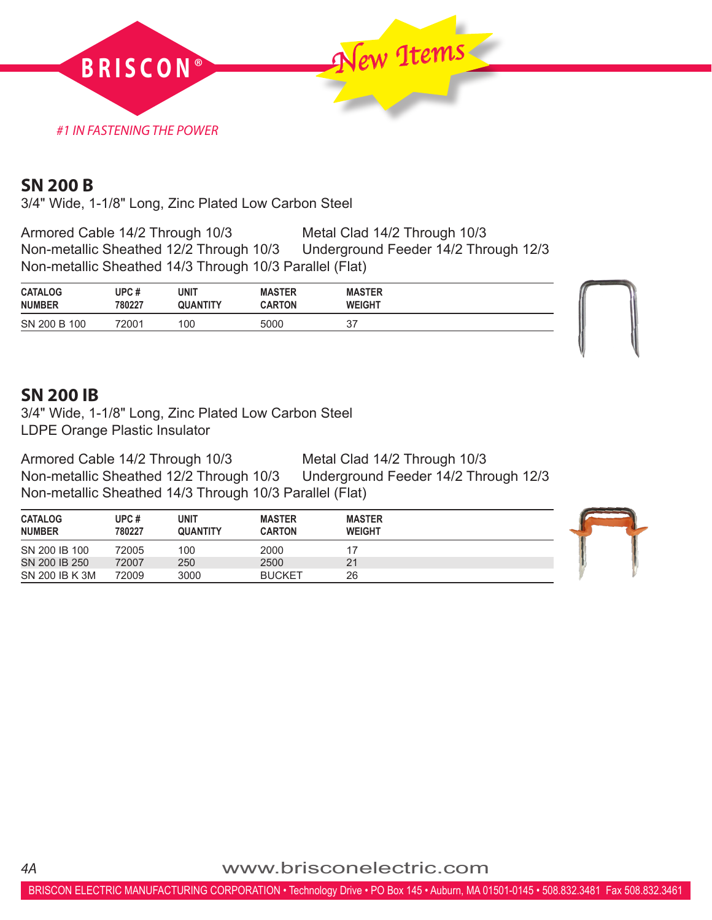

#### **SN 200 B**

3/4" Wide, 1-1/8" Long, Zinc Plated Low Carbon Steel

Armored Cable 14/2 Through 10/3 Metal Clad 14/2 Through 10/3<br>Non-metallic Sheathed 12/2 Through 10/3 Underground Feeder 14/2 Through 12/3 Non-metallic Sheathed 12/2 Through 10/3 Non-metallic Sheathed 14/3 Through 10/3 Parallel (Flat)

| <b>CATALOG</b> | UPC#   | UNIT            | <b>MASTER</b> | <b>MASTER</b> |  |
|----------------|--------|-----------------|---------------|---------------|--|
| <b>NUMBER</b>  | 780227 | <b>QUANTITY</b> | <b>CARTON</b> | <b>WEIGHT</b> |  |
| SN 200 B 100   | 72001  | 100             | 5000          | $\sim$<br>ັ   |  |

#### **SN 200 IB**

*4A*

3/4" Wide, 1-1/8" Long, Zinc Plated Low Carbon Steel LDPE Orange Plastic Insulator

Armored Cable 14/2 Through 10/3 Metal Clad 14/2 Through 10/3 Underground Feeder 14/2 Through 12/3 Non-metallic Sheathed 14/3 Through 10/3 Parallel (Flat)

| <b>CATALOG</b><br><b>NUMBER</b> | UPC #<br>780227 | <b>UNIT</b><br><b>QUANTITY</b> | <b>MASTER</b><br><b>CARTON</b> | <b>MASTER</b><br><b>WEIGHT</b> |  |
|---------------------------------|-----------------|--------------------------------|--------------------------------|--------------------------------|--|
| SN 200 IB 100                   | 72005           | 100                            | 2000                           |                                |  |
| SN 200 IB 250                   | 72007           | 250                            | 2500                           | 21                             |  |
| SN 200 IB K 3M                  | 72009           | 3000                           | <b>BUCKET</b>                  | 26                             |  |

www.brisconelectric.com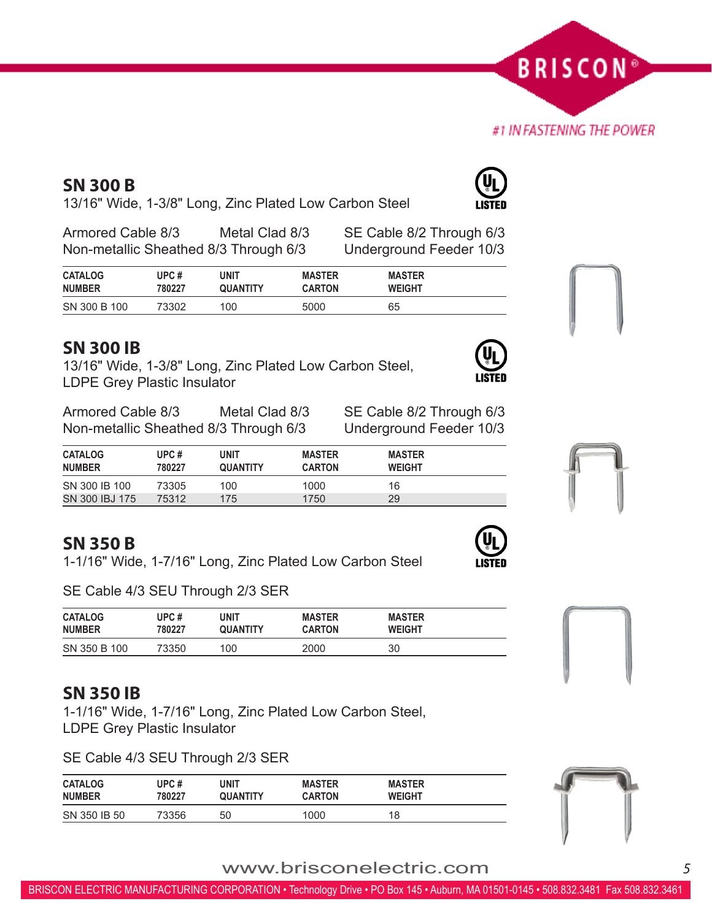www.brisconelectric.com*<sup>5</sup>*

# **SN 300 B**

13/16" Wide, 1-3/8" Long, Zinc Plated Low Carbon Steel

Armored Cable 8/3 Metal Clad 8/3 SE Cable 8/2 Through 6/3 Non-metallic Sheathed 8/3 Through 6/3 Underground Feeder 10/3

| <b>CATALOG</b> | UPC $#$ | unit            | <b>MASTER</b> | <b>MASTER</b> |  |
|----------------|---------|-----------------|---------------|---------------|--|
| <b>NUMBER</b>  | 780227  | <b>QUANTITY</b> | <b>CARTON</b> | <b>WEIGHT</b> |  |
| SN 300 B 100   | 73302   | 100             | 5000          | 65            |  |

## **SN 300 IB**

13/16" Wide, 1-3/8" Long, Zinc Plated Low Carbon Steel, LDPE Grey Plastic Insulator

Armored Cable 8/3 Metal Clad 8/3 SE Cable 8/2 Through 6/3 Non-metallic Sheathed 8/3 Through 6/3 Underground Feeder 10/3

| <b>CATALOG</b><br><b>NUMBER</b> | UPC#<br>780227 | UNIT<br><b>QUANTITY</b> | <b>MASTER</b><br><b>CARTON</b> | <b>MASTER</b><br><b>WEIGHT</b> |  |
|---------------------------------|----------------|-------------------------|--------------------------------|--------------------------------|--|
| SN 300 IB 100                   | 73305          | 100                     | 1000                           | 16                             |  |
| SN 300 IBJ 175                  | 75312          | 175                     | 1750                           | 29                             |  |

# **SN 350 B**

1-1/16" Wide, 1-7/16" Long, Zinc Plated Low Carbon Steel

SE Cable 4/3 SEU Through 2/3 SER

| <b>CATALOG</b> | UPC#   | <b>UNIT</b> | <b>MASTER</b> | <b>MASTER</b> |
|----------------|--------|-------------|---------------|---------------|
| <b>NUMBER</b>  | 780227 | QUANTITY    | <b>CARTON</b> | <b>WEIGHT</b> |
| SN 350 B 100   | 73350  | 100         | 2000          | 30            |

# **SN 350 IB**

1-1/16" Wide, 1-7/16" Long, Zinc Plated Low Carbon Steel, LDPE Grey Plastic Insulator

SE Cable 4/3 SEU Through 2/3 SER

| <b>CATALOG</b> | UPC#   | <b>UNIT</b>     | <b>MASTER</b> | <b>MASTER</b> |
|----------------|--------|-----------------|---------------|---------------|
| <b>NUMBER</b>  | 780227 | <b>QUANTITY</b> | <b>CARTON</b> | <b>WEIGHT</b> |
| SN 350 IB 50   | 73356  | 50              | 1000          | 18            |